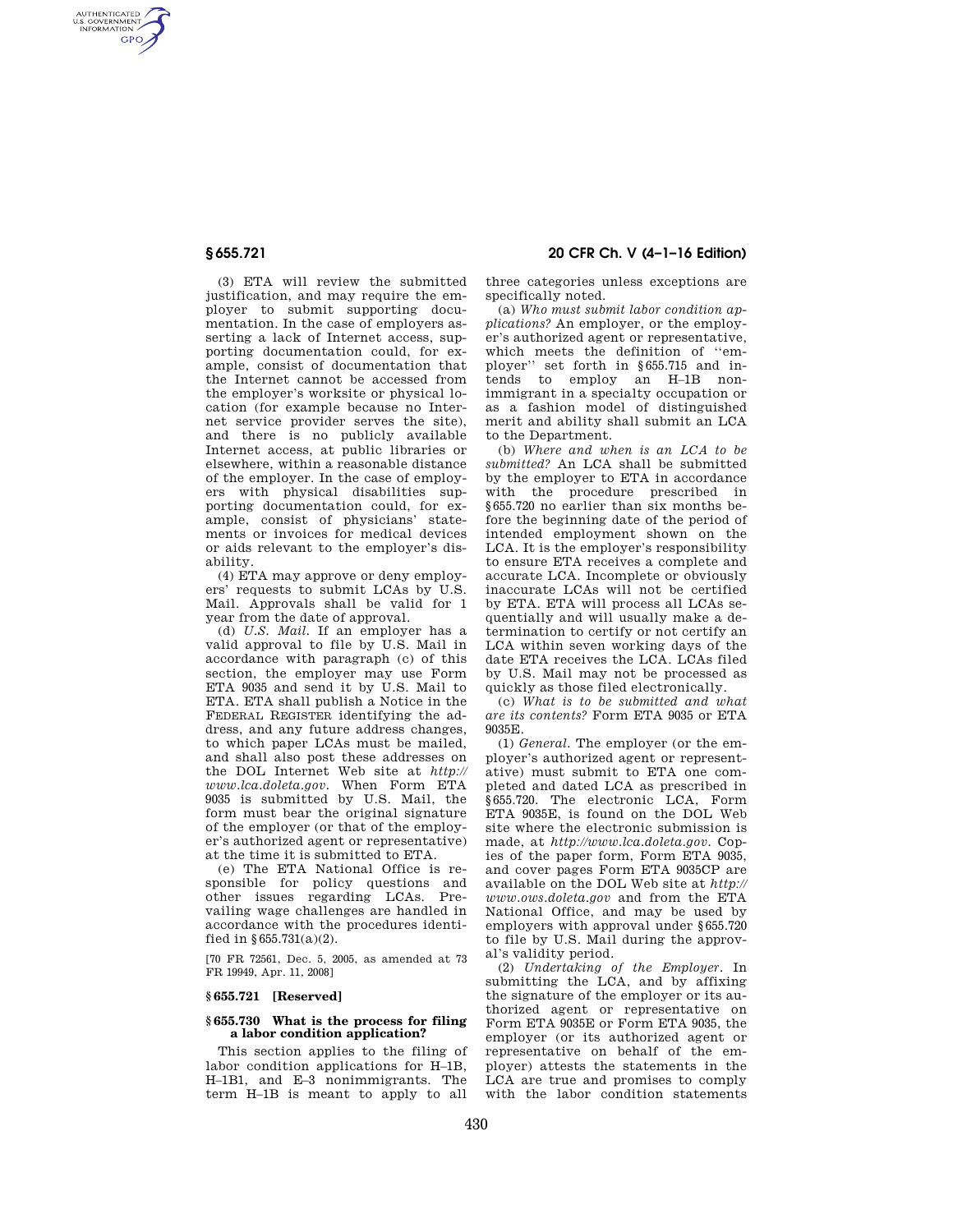AUTHENTICATED<br>U.S. GOVERNMENT<br>INFORMATION **GPO** 

> (3) ETA will review the submitted justification, and may require the employer to submit supporting documentation. In the case of employers asserting a lack of Internet access, supporting documentation could, for example, consist of documentation that the Internet cannot be accessed from the employer's worksite or physical location (for example because no Internet service provider serves the site), and there is no publicly available Internet access, at public libraries or elsewhere, within a reasonable distance of the employer. In the case of employers with physical disabilities supporting documentation could, for example, consist of physicians' statements or invoices for medical devices or aids relevant to the employer's disability.

(4) ETA may approve or deny employers' requests to submit LCAs by U.S. Mail. Approvals shall be valid for 1 year from the date of approval.

(d) *U.S. Mail.* If an employer has a valid approval to file by U.S. Mail in accordance with paragraph (c) of this section, the employer may use Form ETA 9035 and send it by U.S. Mail to ETA. ETA shall publish a Notice in the FEDERAL REGISTER identifying the address, and any future address changes, to which paper LCAs must be mailed, and shall also post these addresses on the DOL Internet Web site at *http:// www.lca.doleta.gov.* When Form ETA 9035 is submitted by U.S. Mail, the form must bear the original signature of the employer (or that of the employer's authorized agent or representative) at the time it is submitted to ETA.

(e) The ETA National Office is responsible for policy questions and other issues regarding LCAs. Prevailing wage challenges are handled in accordance with the procedures identified in §655.731(a)(2).

[70 FR 72561, Dec. 5, 2005, as amended at 73 FR 19949, Apr. 11, 2008]

### **§ 655.721 [Reserved]**

## **§ 655.730 What is the process for filing a labor condition application?**

This section applies to the filing of labor condition applications for H–1B, H–1B1, and E–3 nonimmigrants. The term H–1B is meant to apply to all

# **§ 655.721 20 CFR Ch. V (4–1–16 Edition)**

three categories unless exceptions are specifically noted.

(a) *Who must submit labor condition applications?* An employer, or the employer's authorized agent or representative, which meets the definition of ''employer'' set forth in §655.715 and intends to employ an H–1B nonimmigrant in a specialty occupation or as a fashion model of distinguished merit and ability shall submit an LCA to the Department.

(b) *Where and when is an LCA to be submitted?* An LCA shall be submitted by the employer to ETA in accordance with the procedure prescribed in §655.720 no earlier than six months before the beginning date of the period of intended employment shown on the LCA. It is the employer's responsibility to ensure ETA receives a complete and accurate LCA. Incomplete or obviously inaccurate LCAs will not be certified by ETA. ETA will process all LCAs sequentially and will usually make a determination to certify or not certify an LCA within seven working days of the date ETA receives the LCA. LCAs filed by U.S. Mail may not be processed as quickly as those filed electronically.

(c) *What is to be submitted and what are its contents?* Form ETA 9035 or ETA 9035E.

(1) *General.* The employer (or the employer's authorized agent or representative) must submit to ETA one completed and dated LCA as prescribed in §655.720. The electronic LCA, Form ETA 9035E, is found on the DOL Web site where the electronic submission is made, at *http://www.lca.doleta.gov.* Copies of the paper form, Form ETA 9035, and cover pages Form ETA 9035CP are available on the DOL Web site at *http:// www.ows.doleta.gov* and from the ETA National Office, and may be used by employers with approval under §655.720 to file by U.S. Mail during the approval's validity period.

(2) *Undertaking of the Employer.* In submitting the LCA, and by affixing the signature of the employer or its authorized agent or representative on Form ETA 9035E or Form ETA 9035, the employer (or its authorized agent or representative on behalf of the employer) attests the statements in the LCA are true and promises to comply with the labor condition statements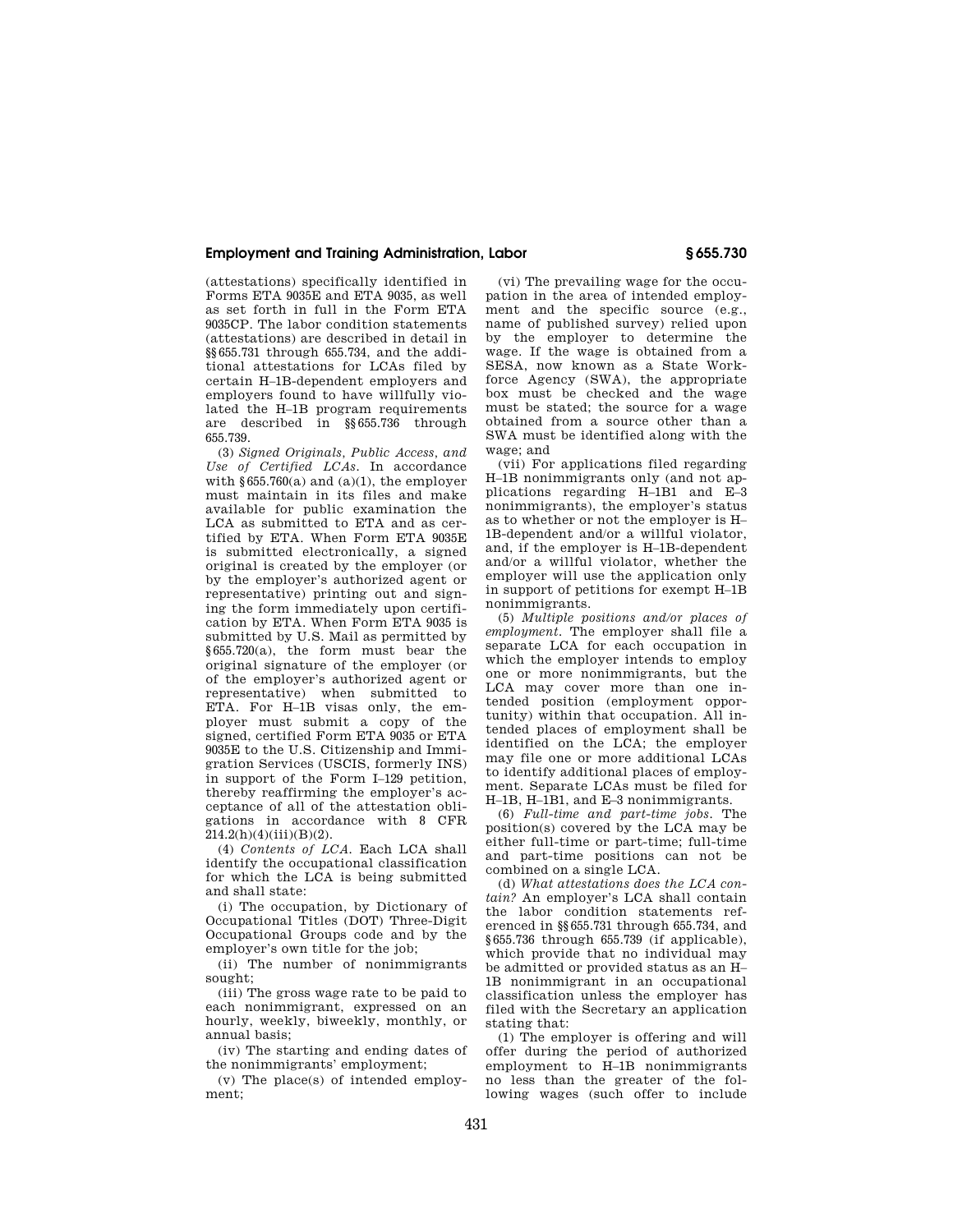## **Employment and Training Administration, Labor § 655.730**

(attestations) specifically identified in Forms ETA 9035E and ETA 9035, as well as set forth in full in the Form ETA 9035CP. The labor condition statements (attestations) are described in detail in §§655.731 through 655.734, and the additional attestations for LCAs filed by certain H–1B-dependent employers and employers found to have willfully violated the H–1B program requirements are described in §§655.736 through 655.739.

(3) *Signed Originals, Public Access, and Use of Certified LCAs.* In accordance with  $§655.760(a)$  and  $(a)(1)$ , the employer must maintain in its files and make available for public examination the LCA as submitted to ETA and as certified by ETA. When Form ETA 9035E is submitted electronically, a signed original is created by the employer (or by the employer's authorized agent or representative) printing out and signing the form immediately upon certification by ETA. When Form ETA 9035 is submitted by U.S. Mail as permitted by §655.720(a), the form must bear the original signature of the employer (or of the employer's authorized agent or representative) when submitted to ETA. For H–1B visas only, the employer must submit a copy of the signed, certified Form ETA 9035 or ETA 9035E to the U.S. Citizenship and Immigration Services (USCIS, formerly INS) in support of the Form I–129 petition, thereby reaffirming the employer's acceptance of all of the attestation obligations in accordance with 8 CFR  $214.2(h)(4)(iii)(B)(2)$ .

(4) *Contents of LCA.* Each LCA shall identify the occupational classification for which the LCA is being submitted and shall state:

(i) The occupation, by Dictionary of Occupational Titles (DOT) Three-Digit Occupational Groups code and by the employer's own title for the job;

(ii) The number of nonimmigrants sought;

(iii) The gross wage rate to be paid to each nonimmigrant, expressed on an hourly, weekly, biweekly, monthly, or annual basis;

(iv) The starting and ending dates of the nonimmigrants' employment;

(v) The place(s) of intended employment;

(vi) The prevailing wage for the occupation in the area of intended employment and the specific source (e.g., name of published survey) relied upon by the employer to determine the wage. If the wage is obtained from a SESA, now known as a State Workforce Agency (SWA), the appropriate box must be checked and the wage must be stated; the source for a wage obtained from a source other than a SWA must be identified along with the wage; and

(vii) For applications filed regarding H–1B nonimmigrants only (and not applications regarding H–1B1 and E–3 nonimmigrants), the employer's status as to whether or not the employer is H– 1B-dependent and/or a willful violator, and, if the employer is H–1B-dependent and/or a willful violator, whether the employer will use the application only in support of petitions for exempt H–1B nonimmigrants.

(5) *Multiple positions and/or places of employment.* The employer shall file a separate LCA for each occupation in which the employer intends to employ one or more nonimmigrants, but the LCA may cover more than one intended position (employment opportunity) within that occupation. All intended places of employment shall be identified on the LCA; the employer may file one or more additional LCAs to identify additional places of employment. Separate LCAs must be filed for H–1B, H–1B1, and E–3 nonimmigrants.

(6) *Full-time and part-time jobs.* The position(s) covered by the LCA may be either full-time or part-time; full-time and part-time positions can not be combined on a single LCA.

(d) *What attestations does the LCA contain?* An employer's LCA shall contain the labor condition statements referenced in §§655.731 through 655.734, and §655.736 through 655.739 (if applicable), which provide that no individual may be admitted or provided status as an H– 1B nonimmigrant in an occupational classification unless the employer has filed with the Secretary an application stating that:

(1) The employer is offering and will offer during the period of authorized employment to H–1B nonimmigrants no less than the greater of the following wages (such offer to include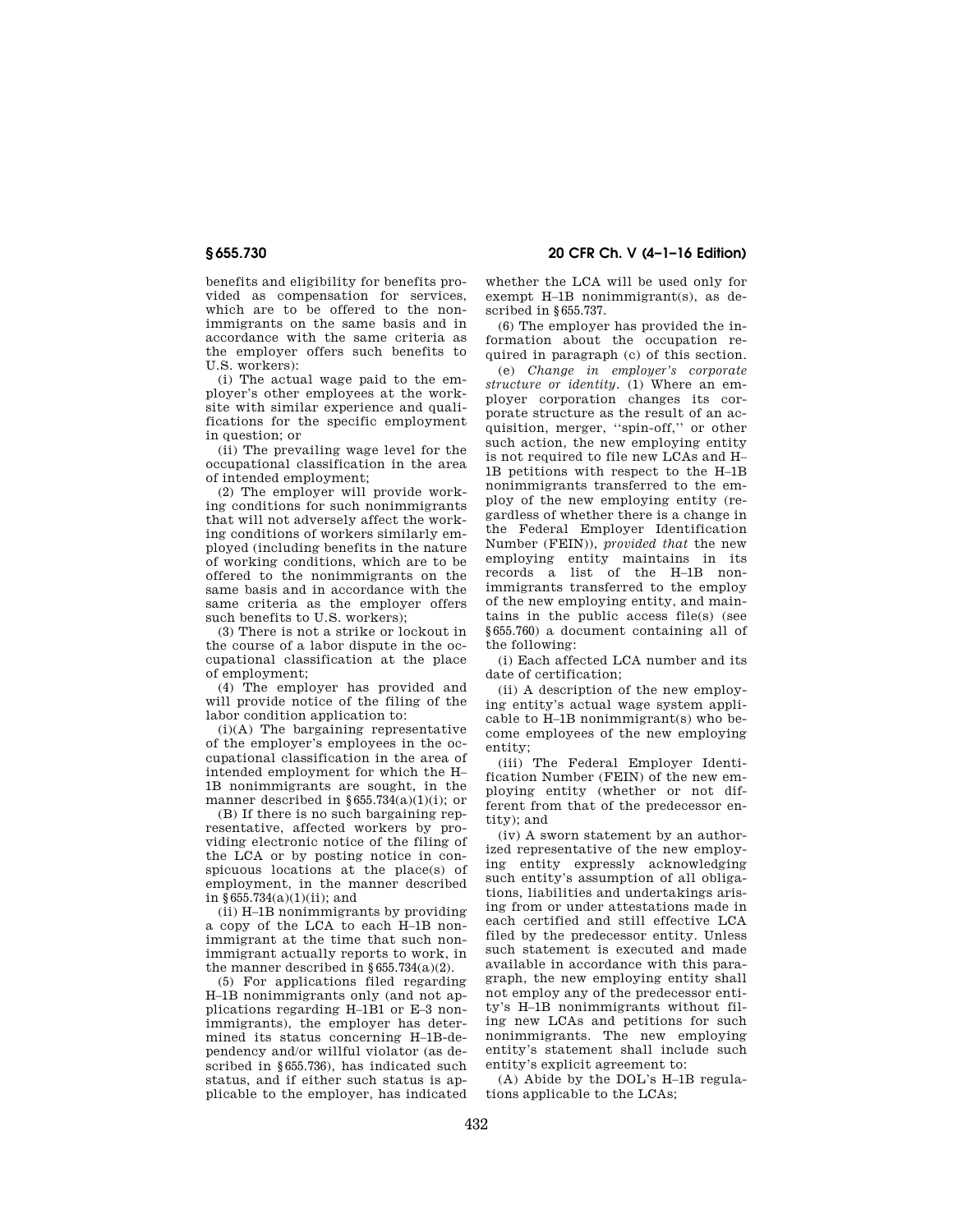benefits and eligibility for benefits provided as compensation for services, which are to be offered to the nonimmigrants on the same basis and in accordance with the same criteria as the employer offers such benefits to U.S. workers):

(i) The actual wage paid to the employer's other employees at the worksite with similar experience and qualifications for the specific employment in question; or

(ii) The prevailing wage level for the occupational classification in the area of intended employment;

(2) The employer will provide working conditions for such nonimmigrants that will not adversely affect the working conditions of workers similarly employed (including benefits in the nature of working conditions, which are to be offered to the nonimmigrants on the same basis and in accordance with the same criteria as the employer offers such benefits to U.S. workers);

(3) There is not a strike or lockout in the course of a labor dispute in the occupational classification at the place of employment;

(4) The employer has provided and will provide notice of the filing of the labor condition application to:

(i)(A) The bargaining representative of the employer's employees in the occupational classification in the area of intended employment for which the H– 1B nonimmigrants are sought, in the manner described in  $§655.734(a)(1)(i)$ ; or

(B) If there is no such bargaining representative, affected workers by providing electronic notice of the filing of the LCA or by posting notice in conspicuous locations at the place(s) of employment, in the manner described in §655.734(a)(1)(ii); and

(ii) H–1B nonimmigrants by providing a copy of the LCA to each H–1B nonimmigrant at the time that such nonimmigrant actually reports to work, in the manner described in  $\S 655.734(a)(2)$ .

(5) For applications filed regarding H–1B nonimmigrants only (and not applications regarding H–1B1 or E–3 nonimmigrants), the employer has determined its status concerning H–1B-dependency and/or willful violator (as described in §655.736), has indicated such status, and if either such status is applicable to the employer, has indicated

**§ 655.730 20 CFR Ch. V (4–1–16 Edition)** 

whether the LCA will be used only for exempt H–1B nonimmigrant(s), as described in §655.737.

(6) The employer has provided the information about the occupation required in paragraph (c) of this section.

(e) *Change in employer's corporate structure or identity.* (1) Where an employer corporation changes its corporate structure as the result of an acquisition, merger, ''spin-off,'' or other such action, the new employing entity is not required to file new LCAs and H– 1B petitions with respect to the H–1B nonimmigrants transferred to the employ of the new employing entity (regardless of whether there is a change in the Federal Employer Identification Number (FEIN)), *provided that* the new employing entity maintains in its records a list of the H–1B nonimmigrants transferred to the employ of the new employing entity, and maintains in the public access file(s) (see §655.760) a document containing all of the following:

(i) Each affected LCA number and its date of certification;

(ii) A description of the new employing entity's actual wage system applicable to H–1B nonimmigrant(s) who become employees of the new employing entity;

(iii) The Federal Employer Identification Number (FEIN) of the new employing entity (whether or not different from that of the predecessor entity); and

(iv) A sworn statement by an authorized representative of the new employing entity expressly acknowledging such entity's assumption of all obligations, liabilities and undertakings arising from or under attestations made in each certified and still effective LCA filed by the predecessor entity. Unless such statement is executed and made available in accordance with this paragraph, the new employing entity shall not employ any of the predecessor entity's H–1B nonimmigrants without filing new LCAs and petitions for such nonimmigrants. The new employing entity's statement shall include such entity's explicit agreement to:

(A) Abide by the DOL's H–1B regulations applicable to the LCAs;